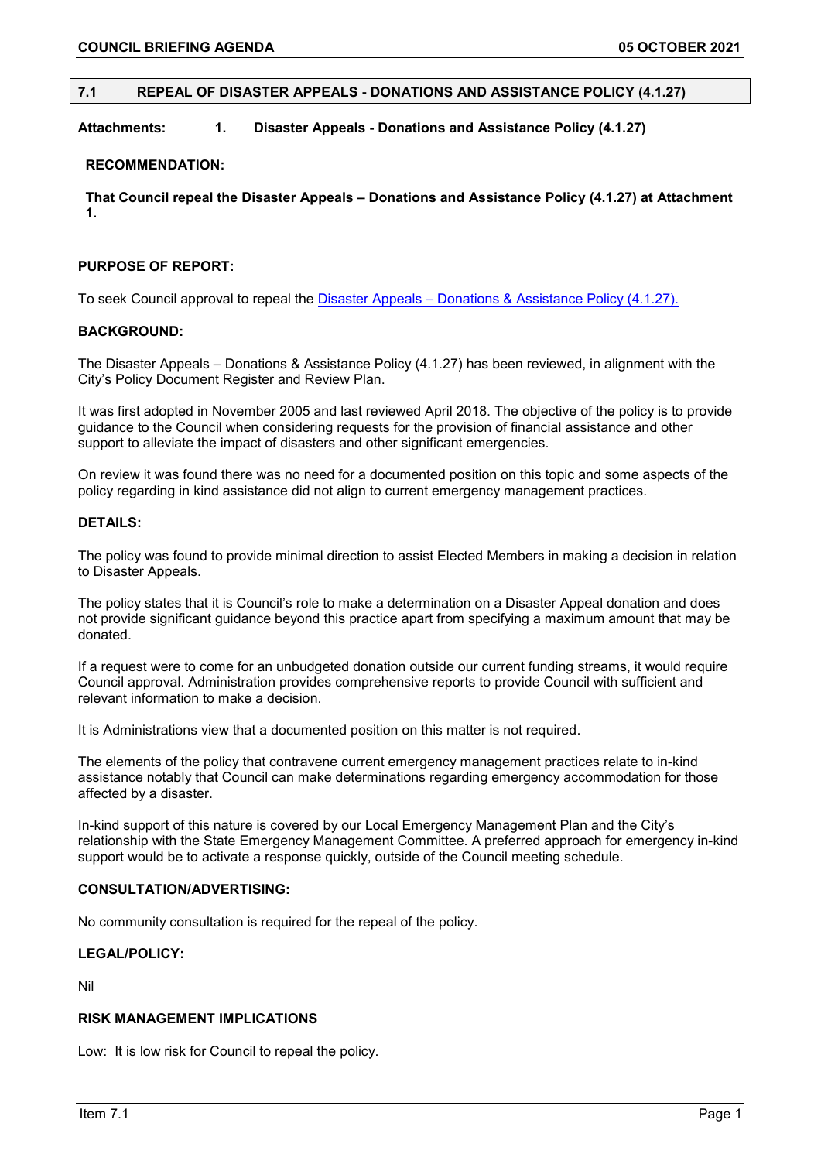# **7.1 REPEAL OF DISASTER APPEALS - DONATIONS AND ASSISTANCE POLICY (4.1.27)**

# **Attachments: 1. Disaster Appeals - Donations and Assistance Policy (4.1.27)**

### **RECOMMENDATION:**

**That Council repeal the Disaster Appeals – Donations and Assistance Policy (4.1.27) at Attachment 1.**

# **PURPOSE OF REPORT:**

To seek Council approval to repeal the [Disaster Appeals – Donations & Assistance Policy \(4.1.27\).](https://www.vincent.wa.gov.au/documents/564/4127-disaster-appeals-donations-and-assistance)

## **BACKGROUND:**

The Disaster Appeals – Donations & Assistance Policy (4.1.27) has been reviewed, in alignment with the City's Policy Document Register and Review Plan.

It was first adopted in November 2005 and last reviewed April 2018. The objective of the policy is to provide guidance to the Council when considering requests for the provision of financial assistance and other support to alleviate the impact of disasters and other significant emergencies.

On review it was found there was no need for a documented position on this topic and some aspects of the policy regarding in kind assistance did not align to current emergency management practices.

# **DETAILS:**

The policy was found to provide minimal direction to assist Elected Members in making a decision in relation to Disaster Appeals.

The policy states that it is Council's role to make a determination on a Disaster Appeal donation and does not provide significant guidance beyond this practice apart from specifying a maximum amount that may be donated.

If a request were to come for an unbudgeted donation outside our current funding streams, it would require Council approval. Administration provides comprehensive reports to provide Council with sufficient and relevant information to make a decision.

It is Administrations view that a documented position on this matter is not required.

The elements of the policy that contravene current emergency management practices relate to in-kind assistance notably that Council can make determinations regarding emergency accommodation for those affected by a disaster.

In-kind support of this nature is covered by our Local Emergency Management Plan and the City's relationship with the State Emergency Management Committee. A preferred approach for emergency in-kind support would be to activate a response quickly, outside of the Council meeting schedule.

### **CONSULTATION/ADVERTISING:**

No community consultation is required for the repeal of the policy.

# **LEGAL/POLICY:**

Nil

# **RISK MANAGEMENT IMPLICATIONS**

Low: It is low risk for Council to repeal the policy.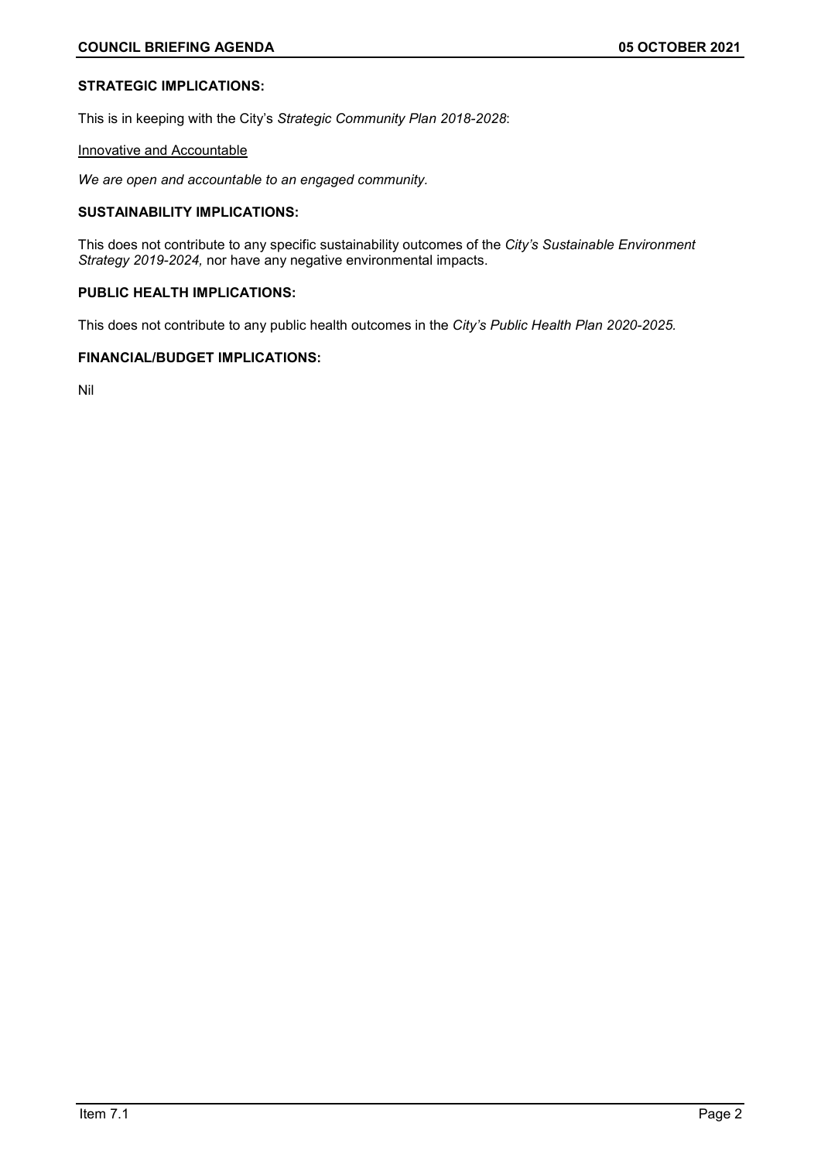# **STRATEGIC IMPLICATIONS:**

This is in keeping with the City's *Strategic Community Plan 2018-2028*:

## Innovative and Accountable

*We are open and accountable to an engaged community.*

# **SUSTAINABILITY IMPLICATIONS:**

This does not contribute to any specific sustainability outcomes of the *City's Sustainable Environment Strategy 2019-2024,* nor have any negative environmental impacts.

# **PUBLIC HEALTH IMPLICATIONS:**

This does not contribute to any public health outcomes in the *City's Public Health Plan 2020-2025.*

# **FINANCIAL/BUDGET IMPLICATIONS:**

Nil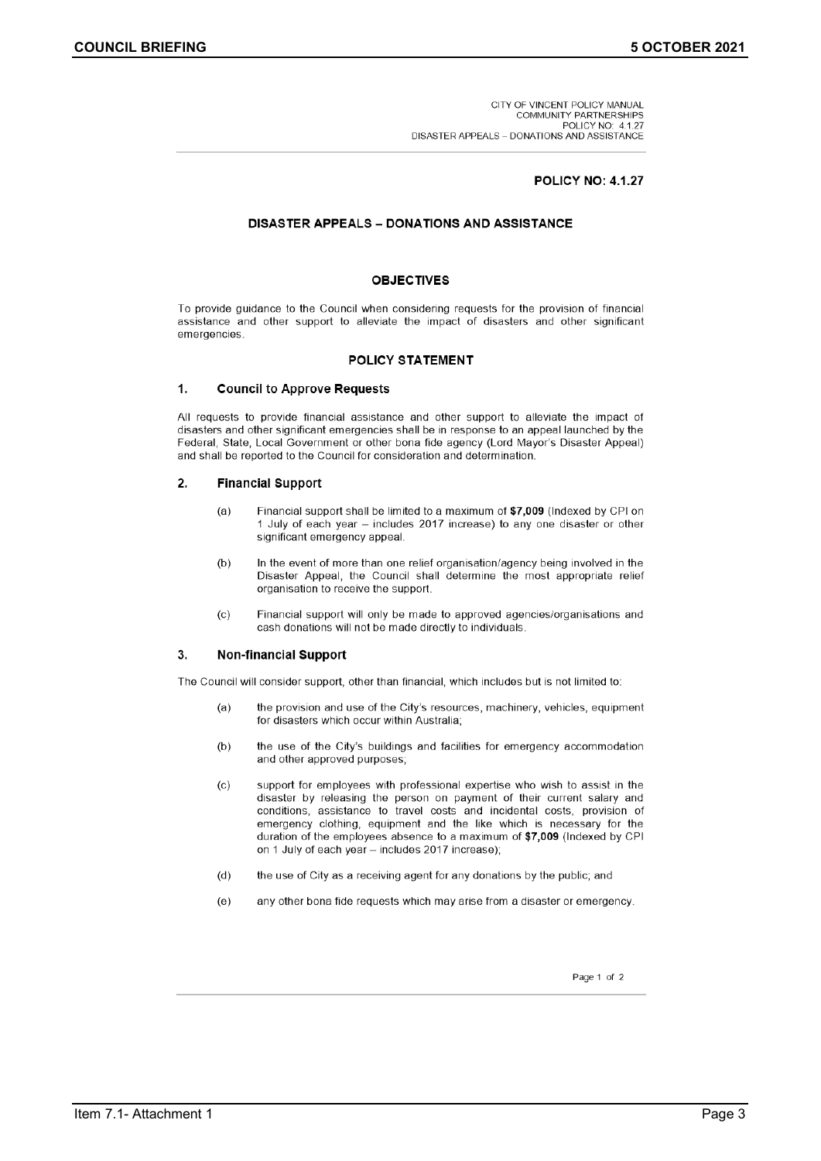CITY OF VINCENT POLICY MANUAL COMMUNITY PARTNERSHIPS<br>POLICY NO: 4.1.27 DISASTER APPEALS - DONATIONS AND ASSISTANCE

### **POLICY NO: 4.1.27**

### **DISASTER APPEALS - DONATIONS AND ASSISTANCE**

#### **OBJECTIVES**

To provide guidance to the Council when considering requests for the provision of financial assistance and other support to alleviate the impact of disasters and other significant emergencies

### **POLICY STATEMENT**

#### $\mathbf{1}$ **Council to Approve Requests**

All requests to provide financial assistance and other support to alleviate the impact of disasters and other significant emergencies shall be in response to an appeal launched by the Federal, State, Local Government or other bona fide agency (Lord Mayor's Disaster Appeal) and shall be reported to the Council for consideration and determination.

#### $2.$ **Financial Support**

- $(a)$ Financial support shall be limited to a maximum of \$7,009 (Indexed by CPI on 1 July of each year - includes 2017 increase) to any one disaster or other significant emergency appeal.
- $(b)$ In the event of more than one relief organisation/agency being involved in the Disaster Appeal, the Council shall determine the most appropriate relief organisation to receive the support.
- $(c)$ Financial support will only be made to approved agencies/organisations and cash donations will not be made directly to individuals.

#### 3. **Non-financial Support**

The Council will consider support, other than financial, which includes but is not limited to:

- $(a)$ the provision and use of the City's resources, machinery, vehicles, equipment for disasters which occur within Australia;
- the use of the City's buildings and facilities for emergency accommodation  $(b)$ and other approved purposes;
- $(c)$ support for employees with professional expertise who wish to assist in the disaster by releasing the person on payment of their current salary and conditions, assistance to travel costs and incidental costs, provision of emergency clothing, equipment and the like which is necessary for the duration of the employees absence to a maximum of \$7,009 (Indexed by CPI on 1 July of each year - includes 2017 increase);
- the use of City as a receiving agent for any donations by the public; and  $(d)$
- $(e)$ any other bona fide requests which may arise from a disaster or emergency.

Page 1 of 2